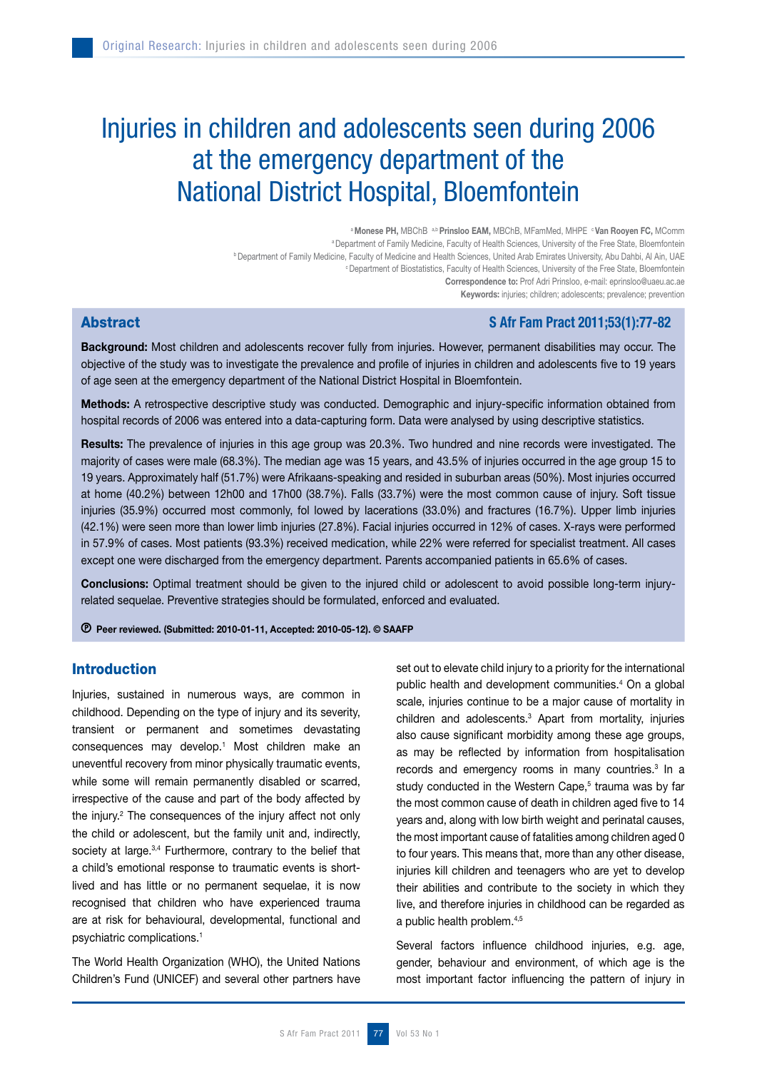# Injuries in children and adolescents seen during 2006 at the emergency department of the National District Hospital, Bloemfontein

a Monese PH, MBChB a,b Prinsloo EAM, MBChB, MFamMed, MHPE c Van Rooyen FC, MComm a Department of Family Medicine, Faculty of Health Sciences, University of the Free State, Bloemfontein b Department of Family Medicine, Faculty of Medicine and Health Sciences, United Arab Emirates University, Abu Dahbi, Al Ain, UAE c Department of Biostatistics, Faculty of Health Sciences, University of the Free State, Bloemfontein Correspondence to: Prof Adri Prinsloo, e-mail: eprinsloo@uaeu.ac.ae Keywords: injuries; children; adolescents; prevalence; prevention

# **Abstract Section 2011;53(1):77-82**

Background: Most children and adolescents recover fully from injuries. However, permanent disabilities may occur. The objective of the study was to investigate the prevalence and profile of injuries in children and adolescents five to 19 years of age seen at the emergency department of the National District Hospital in Bloemfontein.

Methods: A retrospective descriptive study was conducted. Demographic and injury-specific information obtained from hospital records of 2006 was entered into a data-capturing form. Data were analysed by using descriptive statistics.

Results: The prevalence of injuries in this age group was 20.3%. Two hundred and nine records were investigated. The majority of cases were male (68.3%). The median age was 15 years, and 43.5% of injuries occurred in the age group 15 to 19 years. Approximately half (51.7%) were Afrikaans-speaking and resided in suburban areas (50%). Most injuries occurred at home (40.2%) between 12h00 and 17h00 (38.7%). Falls (33.7%) were the most common cause of injury. Soft tissue injuries (35.9%) occurred most commonly, fol lowed by lacerations (33.0%) and fractures (16.7%). Upper limb injuries (42.1%) were seen more than lower limb injuries (27.8%). Facial injuries occurred in 12% of cases. X-rays were performed in 57.9% of cases. Most patients (93.3%) received medication, while 22% were referred for specialist treatment. All cases except one were discharged from the emergency department. Parents accompanied patients in 65.6% of cases.

Conclusions: Optimal treatment should be given to the injured child or adolescent to avoid possible long-term injuryrelated sequelae. Preventive strategies should be formulated, enforced and evaluated.

Peer reviewed. (Submitted: 2010-01-11, Accepted: 2010-05-12). © SAAFP

# Introduction

Injuries, sustained in numerous ways, are common in childhood. Depending on the type of injury and its severity, transient or permanent and sometimes devastating consequences may develop.1 Most children make an uneventful recovery from minor physically traumatic events, while some will remain permanently disabled or scarred, irrespective of the cause and part of the body affected by the injury.<sup>2</sup> The consequences of the injury affect not only the child or adolescent, but the family unit and, indirectly, society at large.<sup>3,4</sup> Furthermore, contrary to the belief that a child's emotional response to traumatic events is shortlived and has little or no permanent sequelae, it is now recognised that children who have experienced trauma are at risk for behavioural, developmental, functional and psychiatric complications.1

The World Health Organization (WHO), the United Nations Children's Fund (UNICEF) and several other partners have

set out to elevate child injury to a priority for the international public health and development communities.<sup>4</sup> On a global scale, injuries continue to be a major cause of mortality in children and adolescents.3 Apart from mortality, injuries also cause significant morbidity among these age groups, as may be reflected by information from hospitalisation records and emergency rooms in many countries.<sup>3</sup> In a study conducted in the Western Cape,<sup>5</sup> trauma was by far the most common cause of death in children aged five to 14 years and, along with low birth weight and perinatal causes, the most important cause of fatalities among children aged 0 to four years. This means that, more than any other disease, injuries kill children and teenagers who are yet to develop their abilities and contribute to the society in which they live, and therefore injuries in childhood can be regarded as a public health problem.4,5

Several factors influence childhood injuries, e.g. age, gender, behaviour and environment, of which age is the most important factor influencing the pattern of injury in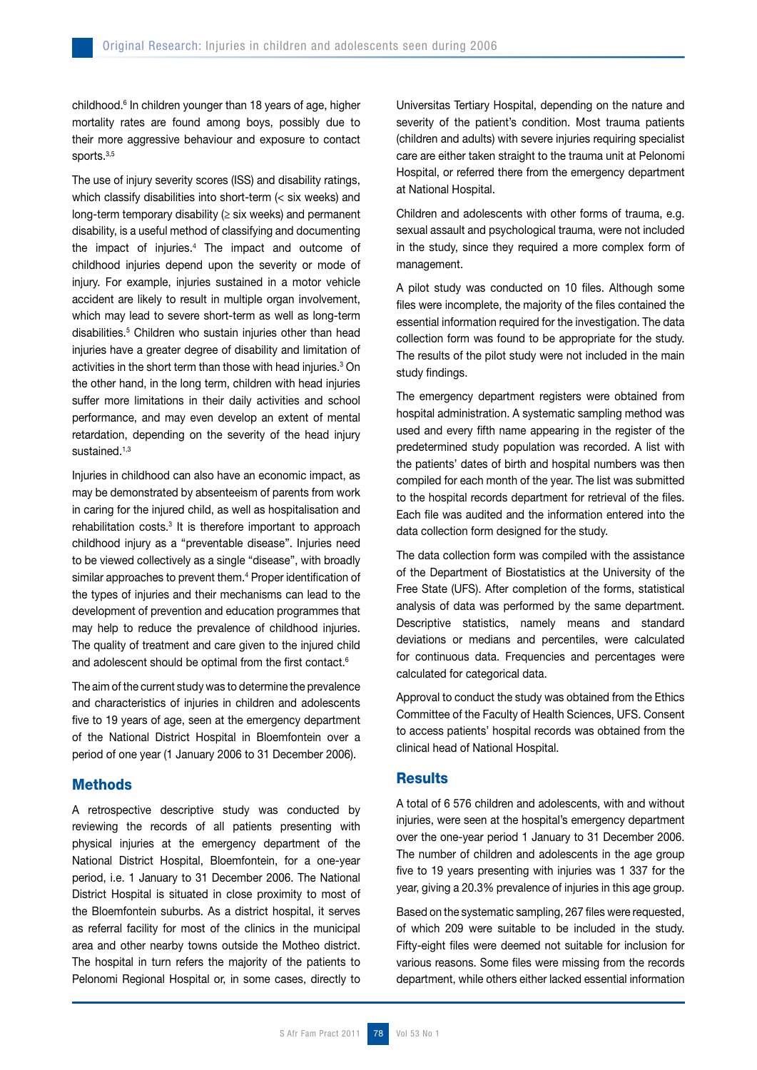childhood.6 In children younger than 18 years of age, higher mortality rates are found among boys, possibly due to their more aggressive behaviour and exposure to contact sports.<sup>3,5</sup>

The use of injury severity scores (ISS) and disability ratings, which classify disabilities into short-term (< six weeks) and long-term temporary disability (≥ six weeks) and permanent disability, is a useful method of classifying and documenting the impact of injuries.4 The impact and outcome of childhood injuries depend upon the severity or mode of injury. For example, injuries sustained in a motor vehicle accident are likely to result in multiple organ involvement, which may lead to severe short-term as well as long-term disabilities.5 Children who sustain injuries other than head injuries have a greater degree of disability and limitation of activities in the short term than those with head injuries.<sup>3</sup> On the other hand, in the long term, children with head injuries suffer more limitations in their daily activities and school performance, and may even develop an extent of mental retardation, depending on the severity of the head injury sustained.<sup>1,3</sup>

Injuries in childhood can also have an economic impact, as may be demonstrated by absenteeism of parents from work in caring for the injured child, as well as hospitalisation and rehabilitation costs.<sup>3</sup> It is therefore important to approach childhood injury as a "preventable disease". Injuries need to be viewed collectively as a single "disease", with broadly similar approaches to prevent them.<sup>4</sup> Proper identification of the types of injuries and their mechanisms can lead to the development of prevention and education programmes that may help to reduce the prevalence of childhood injuries. The quality of treatment and care given to the injured child and adolescent should be optimal from the first contact.<sup>6</sup>

The aim of the current study was to determine the prevalence and characteristics of injuries in children and adolescents five to 19 years of age, seen at the emergency department of the National District Hospital in Bloemfontein over a period of one year (1 January 2006 to 31 December 2006).

# Methods

A retrospective descriptive study was conducted by reviewing the records of all patients presenting with physical injuries at the emergency department of the National District Hospital, Bloemfontein, for a one-year period, i.e. 1 January to 31 December 2006. The National District Hospital is situated in close proximity to most of the Bloemfontein suburbs. As a district hospital, it serves as referral facility for most of the clinics in the municipal area and other nearby towns outside the Motheo district. The hospital in turn refers the majority of the patients to Pelonomi Regional Hospital or, in some cases, directly to

Universitas Tertiary Hospital, depending on the nature and severity of the patient's condition. Most trauma patients (children and adults) with severe injuries requiring specialist care are either taken straight to the trauma unit at Pelonomi Hospital, or referred there from the emergency department at National Hospital.

Children and adolescents with other forms of trauma, e.g. sexual assault and psychological trauma, were not included in the study, since they required a more complex form of management.

A pilot study was conducted on 10 files. Although some files were incomplete, the majority of the files contained the essential information required for the investigation. The data collection form was found to be appropriate for the study. The results of the pilot study were not included in the main study findings.

The emergency department registers were obtained from hospital administration. A systematic sampling method was used and every fifth name appearing in the register of the predetermined study population was recorded. A list with the patients' dates of birth and hospital numbers was then compiled for each month of the year. The list was submitted to the hospital records department for retrieval of the files. Each file was audited and the information entered into the data collection form designed for the study.

The data collection form was compiled with the assistance of the Department of Biostatistics at the University of the Free State (UFS). After completion of the forms, statistical analysis of data was performed by the same department. Descriptive statistics, namely means and standard deviations or medians and percentiles, were calculated for continuous data. Frequencies and percentages were calculated for categorical data.

Approval to conduct the study was obtained from the Ethics Committee of the Faculty of Health Sciences, UFS. Consent to access patients' hospital records was obtained from the clinical head of National Hospital.

## **Results**

A total of 6 576 children and adolescents, with and without injuries, were seen at the hospital's emergency department over the one-year period 1 January to 31 December 2006. The number of children and adolescents in the age group five to 19 years presenting with injuries was 1 337 for the year, giving a 20.3% prevalence of injuries in this age group.

Based on the systematic sampling, 267 files were requested, of which 209 were suitable to be included in the study. Fifty-eight files were deemed not suitable for inclusion for various reasons. Some files were missing from the records department, while others either lacked essential information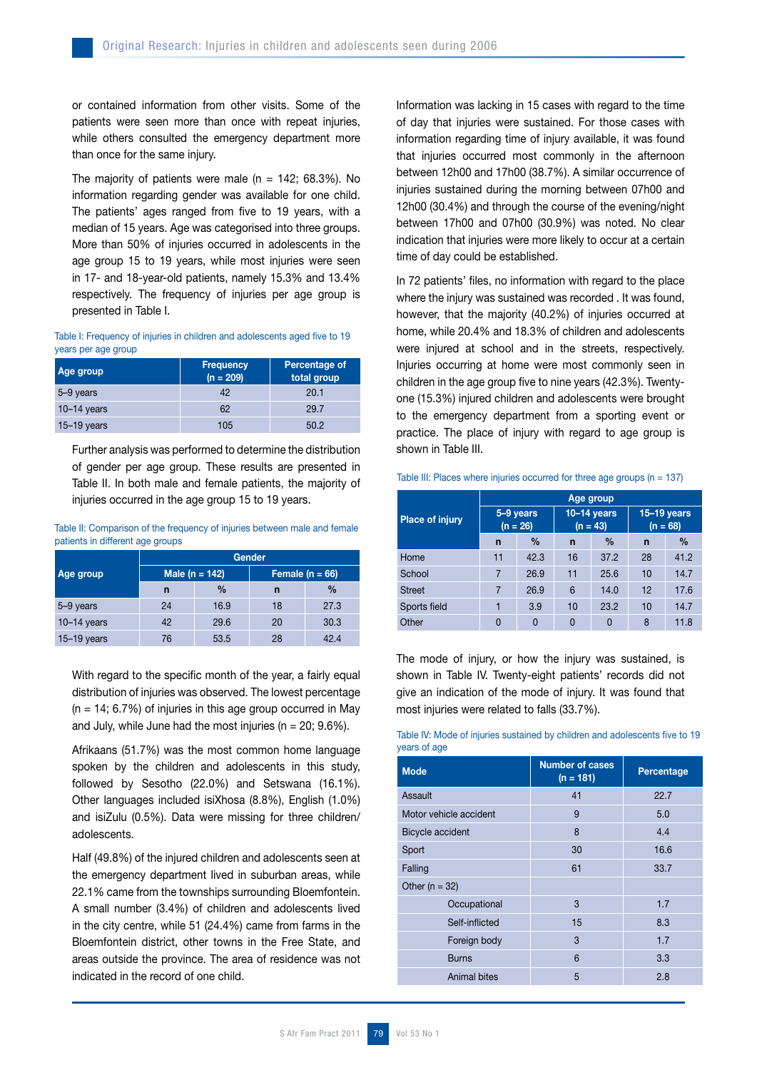or contained information from other visits. Some of the patients were seen more than once with repeat injuries, while others consulted the emergency department more than once for the same injury.

The majority of patients were male ( $n = 142$ ; 68.3%). No information regarding gender was available for one child. The patients' ages ranged from five to 19 years, with a median of 15 years. Age was categorised into three groups. More than 50% of injuries occurred in adolescents in the age group 15 to 19 years, while most injuries were seen in 17- and 18-year-old patients, namely 15.3% and 13.4% respectively. The frequency of injuries per age group is presented in Table I.

Table I: Frequency of injuries in children and adolescents aged five to 19 years per age group

| Age group     | <b>Frequency</b><br>$(n = 209)$ | Percentage of<br>total group |  |  |  |
|---------------|---------------------------------|------------------------------|--|--|--|
| 5-9 years     | 42                              | 20.1                         |  |  |  |
| $10-14$ years | 62                              | 29.7                         |  |  |  |
| $15-19$ years | 105                             | 50.2                         |  |  |  |

Further analysis was performed to determine the distribution of gender per age group. These results are presented in Table II. In both male and female patients, the majority of injuries occurred in the age group 15 to 19 years.

Table II: Comparison of the frequency of injuries between male and female patients in different age groups

|               | Gender |                    |                   |      |  |
|---------------|--------|--------------------|-------------------|------|--|
| Age group     |        | Male ( $n = 142$ ) | Female $(n = 66)$ |      |  |
|               | n      | $\frac{0}{0}$      | n                 | %    |  |
| 5-9 years     | 24     | 16.9               | 18                | 27.3 |  |
| $10-14$ years | 42     | 29.6               | 20                | 30.3 |  |
| $15-19$ years | 76     | 53.5               | 28                | 42.4 |  |

With regard to the specific month of the year, a fairly equal distribution of injuries was observed. The lowest percentage  $(n = 14; 6.7%)$  of injuries in this age group occurred in May and July, while June had the most injuries ( $n = 20$ ; 9.6%).

Afrikaans (51.7%) was the most common home language spoken by the children and adolescents in this study, followed by Sesotho (22.0%) and Setswana (16.1%). Other languages included isiXhosa (8.8%), English (1.0%) and isiZulu (0.5%). Data were missing for three children/ adolescents.

Half (49.8%) of the injured children and adolescents seen at the emergency department lived in suburban areas, while 22.1% came from the townships surrounding Bloemfontein. A small number (3.4%) of children and adolescents lived in the city centre, while 51 (24.4%) came from farms in the Bloemfontein district, other towns in the Free State, and areas outside the province. The area of residence was not indicated in the record of one child.

Information was lacking in 15 cases with regard to the time of day that injuries were sustained. For those cases with information regarding time of injury available, it was found that injuries occurred most commonly in the afternoon between 12h00 and 17h00 (38.7%). A similar occurrence of injuries sustained during the morning between 07h00 and 12h00 (30.4%) and through the course of the evening/night between 17h00 and 07h00 (30.9%) was noted. No clear indication that injuries were more likely to occur at a certain time of day could be established.

In 72 patients' files, no information with regard to the place where the injury was sustained was recorded . It was found, however, that the majority (40.2%) of injuries occurred at home, while 20.4% and 18.3% of children and adolescents were injured at school and in the streets, respectively. Injuries occurring at home were most commonly seen in children in the age group five to nine years (42.3%). Twentyone (15.3%) injured children and adolescents were brought to the emergency department from a sporting event or practice. The place of injury with regard to age group is shown in Table III.

#### Table III: Places where injuries occurred for three age groups ( $n = 137$ )

|                        | Age group               |      |    |                           |                           |               |  |
|------------------------|-------------------------|------|----|---------------------------|---------------------------|---------------|--|
| <b>Place of injury</b> | 5-9 years<br>$(n = 26)$ |      |    | 10-14 years<br>$(n = 43)$ | 15-19 years<br>$(n = 68)$ |               |  |
|                        | n                       | $\%$ | n  | $\frac{0}{0}$             | n                         | $\frac{0}{0}$ |  |
| Home                   | 11                      | 42.3 | 16 | 37.2                      | 28                        | 41.2          |  |
| School                 | 7                       | 26.9 | 11 | 25.6                      | 10                        | 14.7          |  |
| <b>Street</b>          | 7                       | 26.9 | 6  | 14.0                      | 12                        | 17.6          |  |
| Sports field           |                         | 3.9  | 10 | 23.2                      | 10                        | 14.7          |  |
| Other                  | 0                       | 0    | O  | 0                         | 8                         | 11.8          |  |

The mode of injury, or how the injury was sustained, is shown in Table IV. Twenty-eight patients' records did not give an indication of the mode of injury. It was found that most injuries were related to falls (33.7%).

Table IV: Mode of injuries sustained by children and adolescents five to 19 years of age

| <b>Mode</b>            | <b>Number of cases</b><br>$(n = 181)$ | Percentage |  |
|------------------------|---------------------------------------|------------|--|
| Assault                | 41                                    | 22.7       |  |
| Motor vehicle accident | 9                                     | 5.0        |  |
| Bicycle accident       | 8                                     | 4.4        |  |
| Sport                  | 30                                    | 16.6       |  |
| Falling                | 61                                    | 33.7       |  |
| Other ( $n = 32$ )     |                                       |            |  |
| Occupational           | 3                                     | 1.7        |  |
| Self-inflicted         | 15                                    | 8.3        |  |
| Foreign body           | 3                                     | 1.7        |  |
| <b>Burns</b>           | 6                                     | 3.3        |  |
| <b>Animal bites</b>    | 5                                     | 2.8        |  |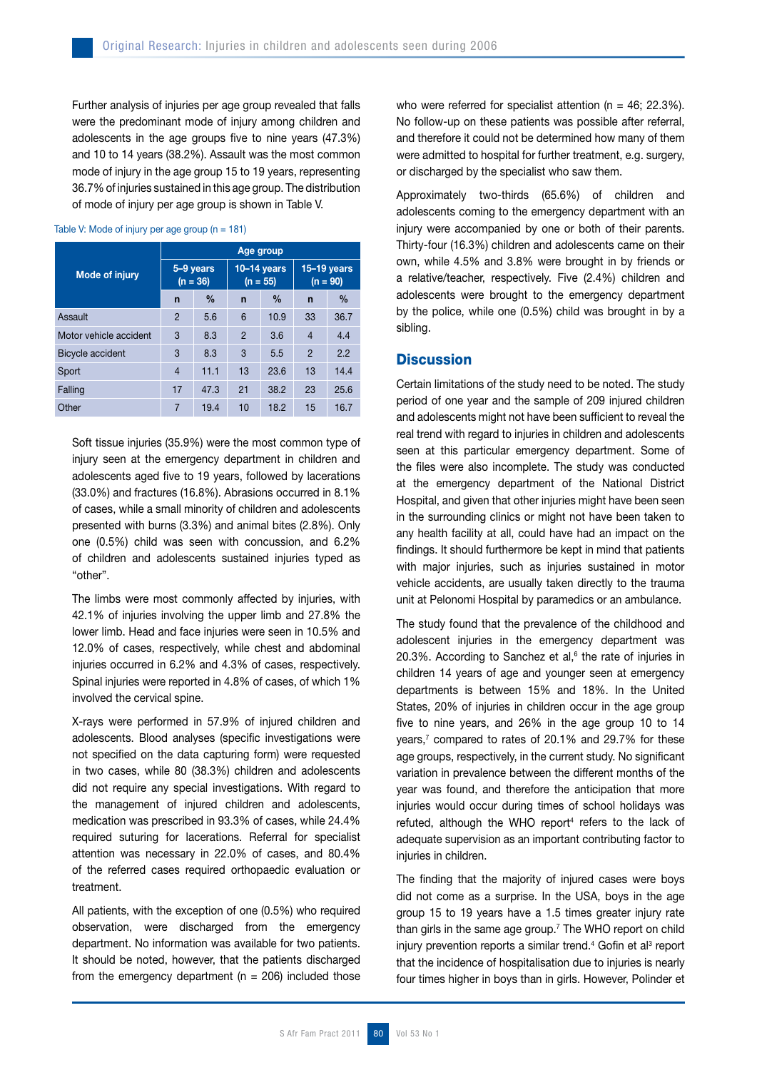Further analysis of injuries per age group revealed that falls were the predominant mode of injury among children and adolescents in the age groups five to nine years (47.3%) and 10 to 14 years (38.2%). Assault was the most common mode of injury in the age group 15 to 19 years, representing 36.7% of injuries sustained in this age group. The distribution of mode of injury per age group is shown in Table V.

|                        | <b>Age group</b>        |               |                             |      |                           |               |
|------------------------|-------------------------|---------------|-----------------------------|------|---------------------------|---------------|
| <b>Mode of injury</b>  | 5-9 years<br>$(n = 36)$ |               | $10-14$ years<br>$(n = 55)$ |      | 15-19 years<br>$(n = 90)$ |               |
|                        | n                       | $\frac{0}{0}$ | n                           | $\%$ | n                         | $\frac{0}{0}$ |
| Assault                | $\overline{2}$          | 5.6           | 6                           | 10.9 | 33                        | 36.7          |
| Motor vehicle accident | 3                       | 8.3           | $\mathfrak{p}$              | 3.6  | 4                         | 4.4           |
| Bicycle accident       | 3                       | 8.3           | 3                           | 5.5  | $\overline{2}$            | 2.2           |
| Sport                  | 4                       | 11.1          | 13                          | 23.6 | 13                        | 14.4          |
| Falling                | 17                      | 47.3          | 21                          | 38.2 | 23                        | 25.6          |
| Other                  | $\overline{7}$          | 19.4          | 10                          | 18.2 | 15                        | 16.7          |

#### Table V: Mode of injury per age group  $(n = 181)$

Soft tissue injuries (35.9%) were the most common type of injury seen at the emergency department in children and adolescents aged five to 19 years, followed by lacerations (33.0%) and fractures (16.8%). Abrasions occurred in 8.1% of cases, while a small minority of children and adolescents presented with burns (3.3%) and animal bites (2.8%). Only one (0.5%) child was seen with concussion, and 6.2% of children and adolescents sustained injuries typed as "other".

The limbs were most commonly affected by injuries, with 42.1% of injuries involving the upper limb and 27.8% the lower limb. Head and face injuries were seen in 10.5% and 12.0% of cases, respectively, while chest and abdominal injuries occurred in 6.2% and 4.3% of cases, respectively. Spinal injuries were reported in 4.8% of cases, of which 1% involved the cervical spine.

X-rays were performed in 57.9% of injured children and adolescents. Blood analyses (specific investigations were not specified on the data capturing form) were requested in two cases, while 80 (38.3%) children and adolescents did not require any special investigations. With regard to the management of injured children and adolescents, medication was prescribed in 93.3% of cases, while 24.4% required suturing for lacerations. Referral for specialist attention was necessary in 22.0% of cases, and 80.4% of the referred cases required orthopaedic evaluation or treatment.

All patients, with the exception of one (0.5%) who required observation, were discharged from the emergency department. No information was available for two patients. It should be noted, however, that the patients discharged from the emergency department ( $n = 206$ ) included those

who were referred for specialist attention ( $n = 46$ ; 22.3%). No follow-up on these patients was possible after referral, and therefore it could not be determined how many of them were admitted to hospital for further treatment, e.g. surgery, or discharged by the specialist who saw them.

Approximately two-thirds (65.6%) of children and adolescents coming to the emergency department with an injury were accompanied by one or both of their parents. Thirty-four (16.3%) children and adolescents came on their own, while 4.5% and 3.8% were brought in by friends or a relative/teacher, respectively. Five (2.4%) children and adolescents were brought to the emergency department by the police, while one (0.5%) child was brought in by a sibling.

# **Discussion**

Certain limitations of the study need to be noted. The study period of one year and the sample of 209 injured children and adolescents might not have been sufficient to reveal the real trend with regard to injuries in children and adolescents seen at this particular emergency department. Some of the files were also incomplete. The study was conducted at the emergency department of the National District Hospital, and given that other injuries might have been seen in the surrounding clinics or might not have been taken to any health facility at all, could have had an impact on the findings. It should furthermore be kept in mind that patients with major injuries, such as injuries sustained in motor vehicle accidents, are usually taken directly to the trauma unit at Pelonomi Hospital by paramedics or an ambulance.

The study found that the prevalence of the childhood and adolescent injuries in the emergency department was 20.3%. According to Sanchez et al, $6$  the rate of injuries in children 14 years of age and younger seen at emergency departments is between 15% and 18%. In the United States, 20% of injuries in children occur in the age group five to nine years, and 26% in the age group 10 to 14 years,<sup> $7$ </sup> compared to rates of 20.1% and 29.7% for these age groups, respectively, in the current study. No significant variation in prevalence between the different months of the year was found, and therefore the anticipation that more injuries would occur during times of school holidays was refuted, although the WHO report<sup>4</sup> refers to the lack of adequate supervision as an important contributing factor to injuries in children.

The finding that the majority of injured cases were boys did not come as a surprise. In the USA, boys in the age group 15 to 19 years have a 1.5 times greater injury rate than girls in the same age group.7 The WHO report on child injury prevention reports a similar trend.<sup>4</sup> Gofin et al<sup>3</sup> report that the incidence of hospitalisation due to injuries is nearly four times higher in boys than in girls. However, Polinder et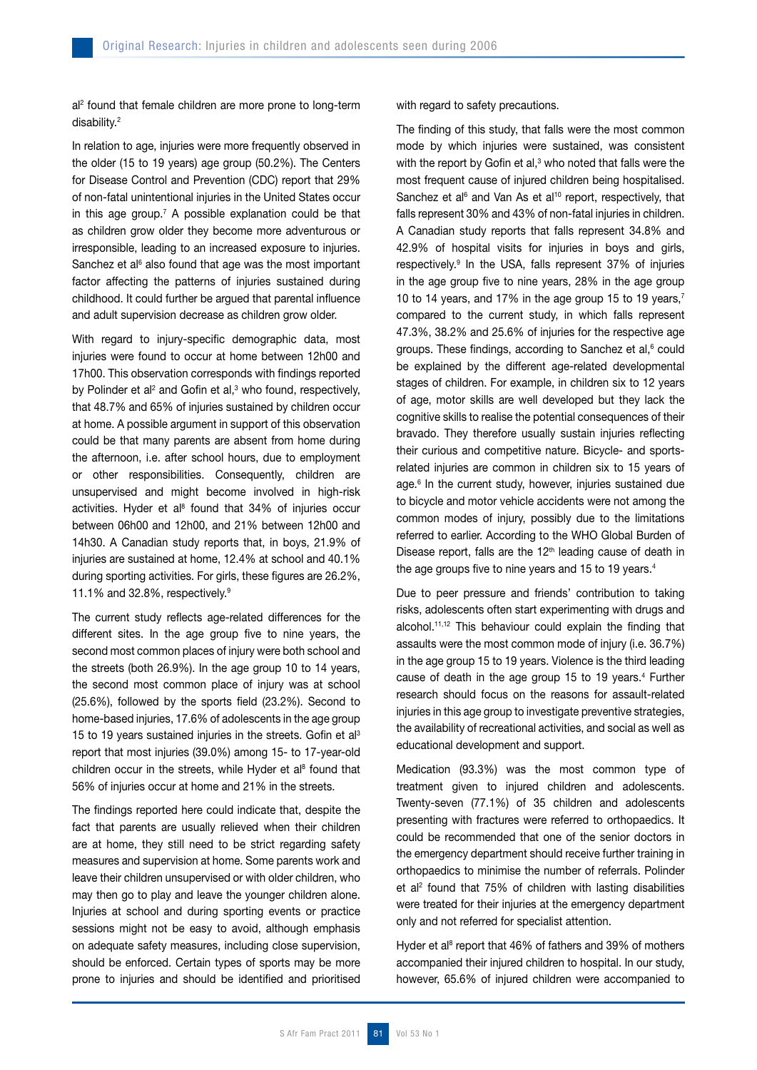al<sup>2</sup> found that female children are more prone to long-term disability.<sup>2</sup>

In relation to age, injuries were more frequently observed in the older (15 to 19 years) age group (50.2%). The Centers for Disease Control and Prevention (CDC) report that 29% of non-fatal unintentional injuries in the United States occur in this age group.<sup>7</sup> A possible explanation could be that as children grow older they become more adventurous or irresponsible, leading to an increased exposure to injuries. Sanchez et al<sup>6</sup> also found that age was the most important factor affecting the patterns of injuries sustained during childhood. It could further be argued that parental influence and adult supervision decrease as children grow older.

With regard to injury-specific demographic data, most injuries were found to occur at home between 12h00 and 17h00. This observation corresponds with findings reported by Polinder et al<sup>2</sup> and Gofin et al,<sup>3</sup> who found, respectively, that 48.7% and 65% of injuries sustained by children occur at home. A possible argument in support of this observation could be that many parents are absent from home during the afternoon, i.e. after school hours, due to employment or other responsibilities. Consequently, children are unsupervised and might become involved in high-risk activities. Hyder et al<sup>8</sup> found that 34% of injuries occur between 06h00 and 12h00, and 21% between 12h00 and 14h30. A Canadian study reports that, in boys, 21.9% of injuries are sustained at home, 12.4% at school and 40.1% during sporting activities. For girls, these figures are 26.2%, 11.1% and 32.8%, respectively.<sup>9</sup>

The current study reflects age-related differences for the different sites. In the age group five to nine years, the second most common places of injury were both school and the streets (both 26.9%). In the age group 10 to 14 years, the second most common place of injury was at school (25.6%), followed by the sports field (23.2%). Second to home-based injuries, 17.6% of adolescents in the age group 15 to 19 years sustained injuries in the streets. Gofin et al<sup>3</sup> report that most injuries (39.0%) among 15- to 17-year-old children occur in the streets, while Hyder et al<sup>8</sup> found that 56% of injuries occur at home and 21% in the streets.

The findings reported here could indicate that, despite the fact that parents are usually relieved when their children are at home, they still need to be strict regarding safety measures and supervision at home. Some parents work and leave their children unsupervised or with older children, who may then go to play and leave the younger children alone. Injuries at school and during sporting events or practice sessions might not be easy to avoid, although emphasis on adequate safety measures, including close supervision, should be enforced. Certain types of sports may be more prone to injuries and should be identified and prioritised

with regard to safety precautions.

The finding of this study, that falls were the most common mode by which injuries were sustained, was consistent with the report by Gofin et al, $3$  who noted that falls were the most frequent cause of injured children being hospitalised. Sanchez et al<sup>6</sup> and Van As et al<sup>10</sup> report, respectively, that falls represent 30% and 43% of non-fatal injuries in children. A Canadian study reports that falls represent 34.8% and 42.9% of hospital visits for injuries in boys and girls, respectively.9 In the USA, falls represent 37% of injuries in the age group five to nine years, 28% in the age group 10 to 14 years, and 17% in the age group 15 to 19 years,<sup>7</sup> compared to the current study, in which falls represent 47.3%, 38.2% and 25.6% of injuries for the respective age groups. These findings, according to Sanchez et al, $6$  could be explained by the different age-related developmental stages of children. For example, in children six to 12 years of age, motor skills are well developed but they lack the cognitive skills to realise the potential consequences of their bravado. They therefore usually sustain injuries reflecting their curious and competitive nature. Bicycle- and sportsrelated injuries are common in children six to 15 years of age.<sup>6</sup> In the current study, however, injuries sustained due to bicycle and motor vehicle accidents were not among the common modes of injury, possibly due to the limitations referred to earlier. According to the WHO Global Burden of Disease report, falls are the  $12<sup>th</sup>$  leading cause of death in the age groups five to nine years and 15 to 19 years.<sup>4</sup>

Due to peer pressure and friends' contribution to taking risks, adolescents often start experimenting with drugs and alcohol.11,12 This behaviour could explain the finding that assaults were the most common mode of injury (i.e. 36.7%) in the age group 15 to 19 years. Violence is the third leading cause of death in the age group 15 to 19 years.<sup>4</sup> Further research should focus on the reasons for assault-related injuries in this age group to investigate preventive strategies, the availability of recreational activities, and social as well as educational development and support.

Medication (93.3%) was the most common type of treatment given to injured children and adolescents. Twenty-seven (77.1%) of 35 children and adolescents presenting with fractures were referred to orthopaedics. It could be recommended that one of the senior doctors in the emergency department should receive further training in orthopaedics to minimise the number of referrals. Polinder et al<sup>2</sup> found that 75% of children with lasting disabilities were treated for their injuries at the emergency department only and not referred for specialist attention.

Hyder et al<sup>8</sup> report that 46% of fathers and 39% of mothers accompanied their injured children to hospital. In our study, however, 65.6% of injured children were accompanied to